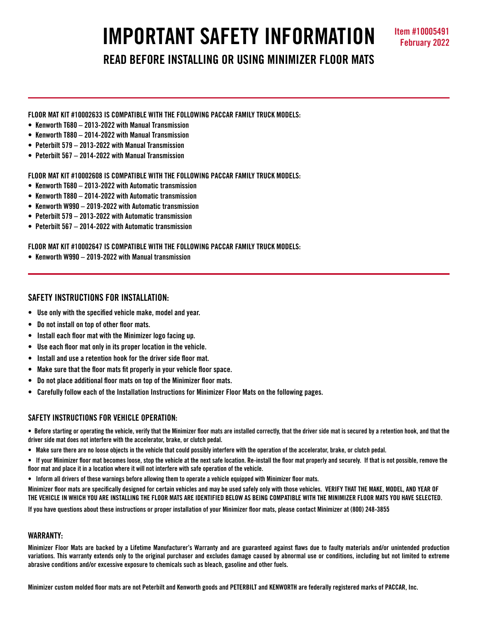# **IMPORTANT SAFETY INFORMATION Item #10005491**

**READ BEFORE INSTALLING OR USING MINIMIZER FLOOR MATS**

**FLOOR MAT KIT #10002633 IS COMPATIBLE WITH THE FOLLOWING PACCAR FAMILY TRUCK MODELS:**

- **Kenworth T680 2013-2022 with Manual Transmission**
- **Kenworth T880 2014-2022 with Manual Transmission**
- **Peterbilt 579 2013-2022 with Manual Transmission**
- **Peterbilt 567 2014-2022 with Manual Transmission**

**FLOOR MAT KIT #10002608 IS COMPATIBLE WITH THE FOLLOWING PACCAR FAMILY TRUCK MODELS:**

- **Kenworth T680 2013-2022 with Automatic transmission**
- **Kenworth T880 2014-2022 with Automatic transmission**
- **Kenworth W990 2019-2022 with Automatic transmission**
- **Peterbilt 579 2013-2022 with Automatic transmission**
- **Peterbilt 567 2014-2022 with Automatic transmission**

**FLOOR MAT KIT #10002647 IS COMPATIBLE WITH THE FOLLOWING PACCAR FAMILY TRUCK MODELS:**

**• Kenworth W990 – 2019-2022 with Manual transmission**

# **SAFETY INSTRUCTIONS FOR INSTALLATION:**

- **Use only with the specified vehicle make, model and year.**
- **Do not install on top of other floor mats.**
- **Install each floor mat with the Minimizer logo facing up.**
- **Use each floor mat only in its proper location in the vehicle.**
- **Install and use a retention hook for the driver side floor mat.**
- **Make sure that the floor mats fit properly in your vehicle floor space.**
- **Do not place additional floor mats on top of the Minimizer floor mats.**
- **Carefully follow each of the Installation Instructions for Minimizer Floor Mats on the following pages.**

# **SAFFTY INSTRUCTIONS FOR VEHICLE OPERATION:**

**• Before starting or operating the vehicle, verify that the Minimizer floor mats are installed correctly, that the driver side mat is secured by a retention hook, and that the driver side mat does not interfere with the accelerator, brake, or clutch pedal.**

**• Make sure there are no loose objects in the vehicle that could possibly interfere with the operation of the accelerator, brake, or clutch pedal.**

**• If your Minimizer floor mat becomes loose, stop the vehicle at the next safe location. Re-install the floor mat properly and securely. If that is not possible, remove the floor mat and place it in a location where it will not interfere with safe operation of the vehicle.**

**• Inform all drivers of these warnings before allowing them to operate a vehicle equipped with Minimizer floor mats.**

**Minimizer floor mats are specifically designed for certain vehicles and may be used safely only with those vehicles. VERIFY THAT THE MAKE, MODEL, AND YEAR OF THE VEHICLE IN WHICH YOU ARE INSTALLING THE FLOOR MATS ARE IDENTIFIED BELOW AS BEING COMPATIBLE WITH THE MINIMIZER FLOOR MATS YOU HAVE SELECTED.** 

**If you have questions about these instructions or proper installation of your Minimizer floor mats, please contact Minimizer at (800) 248-3855**

## **WARRANTY:**

**Minimizer Floor Mats are backed by a Lifetime Manufacturer's Warranty and are guaranteed against flaws due to faulty materials and/or unintended production variations. This warranty extends only to the original purchaser and excludes damage caused by abnormal use or conditions, including but not limited to extreme abrasive conditions and/or excessive exposure to chemicals such as bleach, gasoline and other fuels.**

**Minimizer custom molded floor mats are not Peterbilt and Kenworth goods and PETERBILT and KENWORTH are federally registered marks of PACCAR, Inc.**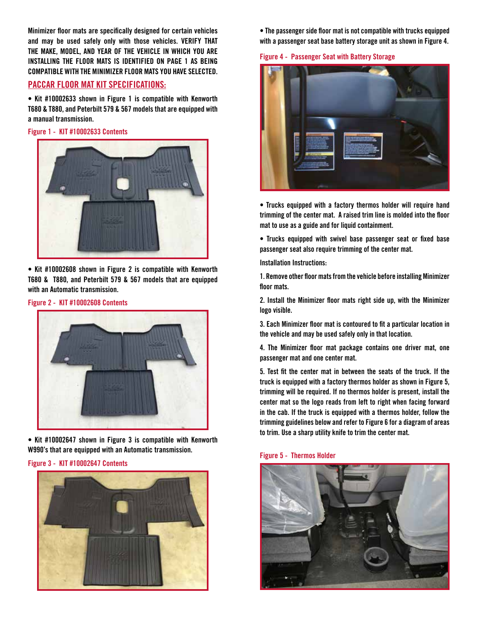**Minimizer floor mats are specifically designed for certain vehicles and may be used safely only with those vehicles. VERIFY THAT THE MAKE, MODEL, AND YEAR OF THE VEHICLE IN WHICH YOU ARE INSTALLING THE FLOOR MATS IS IDENTIFIED ON PAGE 1 AS BEING COMPATIBLE WITH THE MINIMIZER FLOOR MATS YOU HAVE SELECTED.**

## **PACCAR FLOOR MAT KIT SPECIFICATIONS:**

**• Kit #10002633 shown in Figure 1 is compatible with Kenworth T680 & T880, and Peterbilt 579 & 567 models that are equipped with a manual transmission.** 

**Figure 1 - KIT #10002633 Contents**



**• Kit #10002608 shown in Figure 2 is compatible with Kenworth T680 & T880, and Peterbilt 579 & 567 models that are equipped with an Automatic transmission.**

**Figure 2 - KIT #10002608 Contents**



**• Kit #10002647 shown in Figure 3 is compatible with Kenworth W990's that are equipped with an Automatic transmission.**

**Figure 3 - KIT #10002647 Contents**



**• The passenger side floor mat is not compatible with trucks equipped with a passenger seat base battery storage unit as shown in Figure 4.** 

**Figure 4 - Passenger Seat with Battery Storage**



**• Trucks equipped with a factory thermos holder will require hand trimming of the center mat. A raised trim line is molded into the floor mat to use as a guide and for liquid containment.** 

**• Trucks equipped with swivel base passenger seat or fixed base passenger seat also require trimming of the center mat.**

**Installation Instructions:**

**1. Remove other floor mats from the vehicle before installing Minimizer floor mats.**

**2. Install the Minimizer floor mats right side up, with the Minimizer logo visible.**

**3. Each Minimizer floor mat is contoured to fit a particular location in the vehicle and may be used safely only in that location.**

**4. The Minimizer floor mat package contains one driver mat, one passenger mat and one center mat.** 

**5. Test fit the center mat in between the seats of the truck. If the truck is equipped with a factory thermos holder as shown in Figure 5, trimming will be required. If no thermos holder is present, install the center mat so the logo reads from left to right when facing forward in the cab. If the truck is equipped with a thermos holder, follow the trimming guidelines below and refer to Figure 6 for a diagram of areas to trim. Use a sharp utility knife to trim the center mat.** 

## **Figure 5 - Thermos Holder**

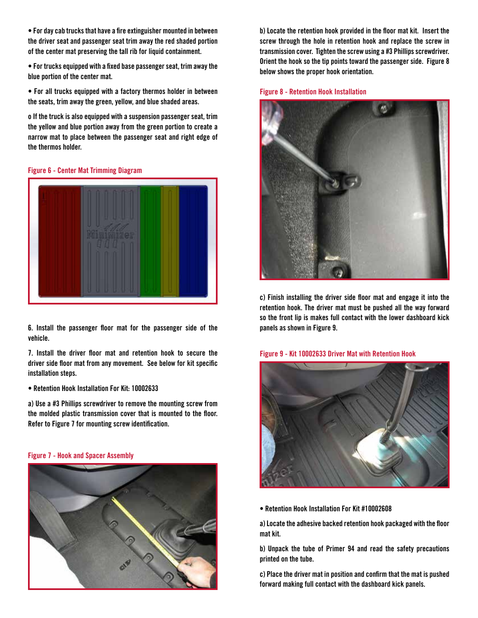**• For day cab trucks that have a fire extinguisher mounted in between the driver seat and passenger seat trim away the red shaded portion of the center mat preserving the tall rib for liquid containment.**

**• For trucks equipped with a fixed base passenger seat, trim away the blue portion of the center mat.** 

**• For all trucks equipped with a factory thermos holder in between the seats, trim away the green, yellow, and blue shaded areas.** 

**o If the truck is also equipped with a suspension passenger seat, trim the yellow and blue portion away from the green portion to create a narrow mat to place between the passenger seat and right edge of the thermos holder.**

#### **Figure 6 - Center Mat Trimming Diagram**



**6. Install the passenger floor mat for the passenger side of the vehicle.**

**7. Install the driver floor mat and retention hook to secure the driver side floor mat from any movement. See below for kit specific installation steps.**

**• Retention Hook Installation For Kit: 10002633**

**a) Use a #3 Phillips screwdriver to remove the mounting screw from the molded plastic transmission cover that is mounted to the floor. Refer to Figure 7 for mounting screw identification.** 

**Figure 7 - Hook and Spacer Assembly**



**b) Locate the retention hook provided in the floor mat kit. Insert the screw through the hole in retention hook and replace the screw in transmission cover. Tighten the screw using a #3 Phillips screwdriver. Orient the hook so the tip points toward the passenger side. Figure 8 below shows the proper hook orientation.**

#### **Figure 8 - Retention Hook Installation**



**c) Finish installing the driver side floor mat and engage it into the retention hook. The driver mat must be pushed all the way forward so the front lip is makes full contact with the lower dashboard kick panels as shown in Figure 9.**

#### **Figure 9 - Kit 10002633 Driver Mat with Retention Hook**



#### **• Retention Hook Installation For Kit #10002608**

**a) Locate the adhesive backed retention hook packaged with the floor mat kit.**

**b) Unpack the tube of Primer 94 and read the safety precautions printed on the tube.**

**c) Place the driver mat in position and confirm that the mat is pushed forward making full contact with the dashboard kick panels.**